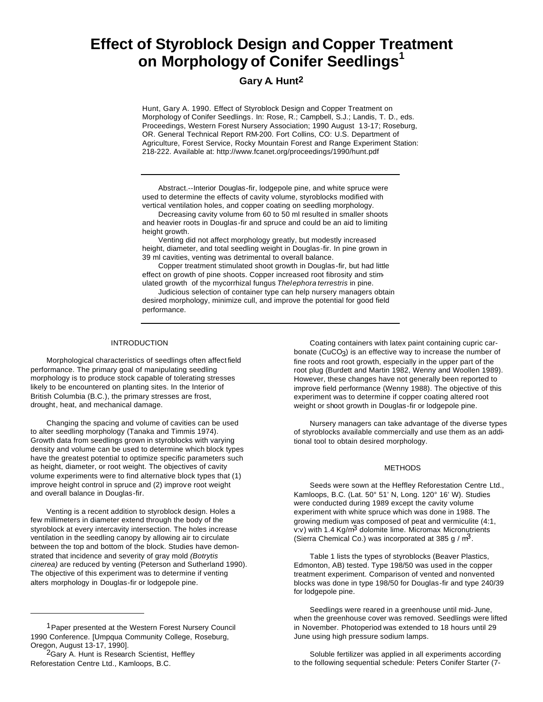# **Effect of Styroblock Design and Copper Treatment on Morphology of Conifer Seedlings<sup>1</sup>**

## **Gary A. Hunt2**

Hunt, Gary A. 1990. Effect of Styroblock Design and Copper Treatment on Morphology of Conifer Seedlings. In: Rose, R.; Campbell, S.J.; Landis, T. D., eds. Proceedings, Western Forest Nursery Association; 1990 August 13-17; Roseburg, OR. General Technical Report RM-200. Fort Collins, CO: U.S. Department of Agriculture, Forest Service, Rocky Mountain Forest and Range Experiment Station: 218-222. Available at: http://www.fcanet.org/proceedings/1990/hunt.pdf

Abstract.--Interior Douglas-fir, lodgepole pine, and white spruce were used to determine the effects of cavity volume, styroblocks modified with vertical ventilation holes, and copper coating on seedling morphology.

Decreasing cavity volume from 60 to 50 ml resulted in smaller shoots and heavier roots in Douglas-fir and spruce and could be an aid to limiting height growth.

Venting did not affect morphology greatly, but modestly increased height, diameter, and total seedling weight in Douglas-fir. In pine grown in 39 ml cavities, venting was detrimental to overall balance.

Copper treatment stimulated shoot growth in Douglas-fir, but had little effect on growth of pine shoots. Copper increased root fibrosity and stimulated growth of the mycorrhizal fungus *Thelephora terrestris* in pine.

Judicious selection of container type can help nursery managers obtain desired morphology, minimize cull, and improve the potential for good field performance.

#### INTRODUCTION

Morphological characteristics of seedlings often affect field performance. The primary goal of manipulating seedling morphology is to produce stock capable of tolerating stresses likely to be encountered on planting sites. In the Interior of British Columbia (B.C.), the primary stresses are frost, drought, heat, and mechanical damage.

Changing the spacing and volume of cavities can be used to alter seedling morphology (Tanaka and Timmis 1974). Growth data from seedlings grown in styroblocks with varying density and volume can be used to determine which block types have the greatest potential to optimize specific parameters such as height, diameter, or root weight. The objectives of cavity volume experiments were to find alternative block types that (1) improve height control in spruce and (2) improve root weight and overall balance in Douglas-fir.

Venting is a recent addition to styroblock design. Holes a few millimeters in diameter extend through the body of the styroblock at every intercavity intersection. The holes increase ventilation in the seedling canopy by allowing air to circulate between the top and bottom of the block. Studies have demonstrated that incidence and severity of gray mold *(Botrytis cinerea)* are reduced by venting (Peterson and Sutherland 1990). The objective of this experiment was to determine if venting alters morphology in Douglas-fir or lodgepole pine.

Coating containers with latex paint containing cupric carbonate (CuCO<sub>3</sub>) is an effective way to increase the number of fine roots and root growth, especially in the upper part of the root plug (Burdett and Martin 1982, Wenny and Woollen 1989). However, these changes have not generally been reported to improve field performance (Wenny 1988). The objective of this experiment was to determine if copper coating altered root weight or shoot growth in Douglas-fir or lodgepole pine.

Nursery managers can take advantage of the diverse types of styroblocks available commercially and use them as an additional tool to obtain desired morphology.

#### METHODS

Seeds were sown at the Heffley Reforestation Centre Ltd., Kamloops, B.C. (Lat. 50° 51' N, Long. 120° 16' W). Studies were conducted during 1989 except the cavity volume experiment with white spruce which was done in 1988. The growing medium was composed of peat and vermiculite (4:1, v:v) with 1.4 Kg/m<sup>3</sup> dolomite lime. Micromax Micronutrients (Sierra Chemical Co.) was incorporated at 385 g /  $m^3$ .

Table 1 lists the types of styroblocks (Beaver Plastics, Edmonton, AB) tested. Type 198/50 was used in the copper treatment experiment. Comparison of vented and nonvented blocks was done in type 198/50 for Douglas-fir and type 240/39 for lodgepole pine.

Seedlings were reared in a greenhouse until mid-June, when the greenhouse cover was removed. Seedlings were lifted in November. Photoperiod was extended to 18 hours until 29 June using high pressure sodium lamps.

<sup>1</sup>Paper presented at the Western Forest Nursery Council 1990 Conference. [Umpqua Community College, Roseburg, Oregon, August 13-17, 1990].

<sup>&</sup>lt;sup>2</sup>Gary A. Hunt is Research Scientist, Heffley Reforestation Centre Ltd., Kamloops, B.C.

Soluble fertilizer was applied in all experiments according to the following sequential schedule: Peters Conifer Starter (7-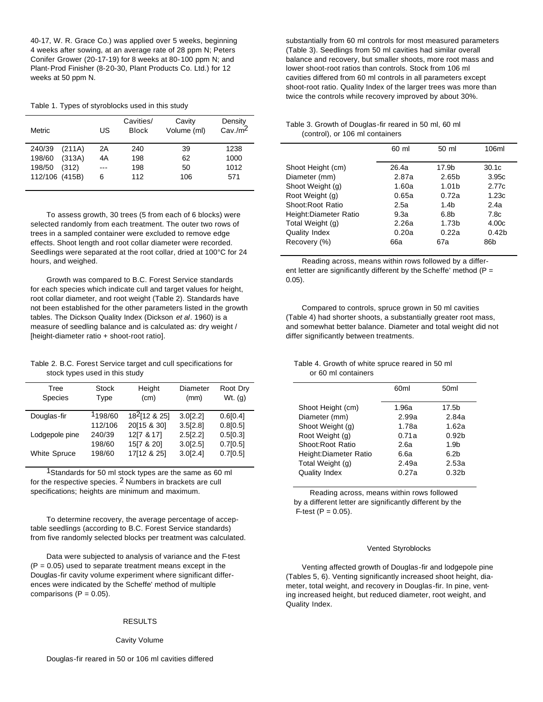40-17, W. R. Grace Co.) was applied over 5 weeks, beginning 4 weeks after sowing, at an average rate of 28 ppm N; Peters Conifer Grower (20-17-19) for 8 weeks at 80-100 ppm N; and Plant-Prod Finisher (8-20-30, Plant Products Co. Ltd.) for 12 weeks at 50 ppm N.

Table 1. Types of styroblocks used in this study

| <b>Metric</b>    | US  | Cavities/<br><b>Block</b> | Cavity<br>Volume (ml) | Density<br>$Cav./m^2$ |
|------------------|-----|---------------------------|-----------------------|-----------------------|
| 240/39<br>(211A) | 2A  | 240                       | 39                    | 1238                  |
| 198/60<br>(313A) | 4A  | 198                       | 62                    | 1000                  |
| 198/50<br>(312)  | --- | 198                       | 50                    | 1012                  |
| 112/106 (415B)   | 6   | 112                       | 106                   | 571                   |
|                  |     |                           |                       |                       |

To assess growth, 30 trees (5 from each of 6 blocks) were selected randomly from each treatment. The outer two rows of trees in a sampled container were excluded to remove edge effects. Shoot length and root collar diameter were recorded. Seedlings were separated at the root collar, dried at 100°C for 24 hours, and weighed.

Growth was compared to B.C. Forest Service standards for each species which indicate cull and target values for height, root collar diameter, and root weight (Table 2). Standards have not been established for the other parameters listed in the growth tables. The Dickson Quality Index (Dickson *et al*. 1960) is a measure of seedling balance and is calculated as: dry weight / [height-diameter ratio + shoot-root ratio].

Table 2. B.C. Forest Service target and cull specifications for stock types used in this study

| Tree<br><b>Species</b> | Stock<br>Type | Height<br>(cm)     | Diameter<br>(mm) | Root Dry<br>Wt. $(q)$ |
|------------------------|---------------|--------------------|------------------|-----------------------|
| Douglas-fir            | 1198/60       | $18^{2}$ [12 & 25] | 3.0[2.2]         | 0.6[0.4]              |
|                        | 112/106       | 20[15 & 30]        | 3.5[2.8]         | 0.8[0.5]              |
| Lodgepole pine         | 240/39        | 12[7 & 17]         | 2.5[2.2]         | 0.5[0.3]              |
|                        | 198/60        | 15[7 & 20]         | 3.0[2.5]         | 0.7[0.5]              |
| <b>White Spruce</b>    | 198/60        | 17[12 & 25]        | 3.0[2.4]         | 0.7[0.5]              |
|                        |               |                    |                  |                       |

<sup>1</sup>Standards for 50 ml stock types are the same as 60 ml for the respective species. 2 Numbers in brackets are cull specifications; heights are minimum and maximum.

To determine recovery, the average percentage of acceptable seedlings (according to B.C. Forest Service standards) from five randomly selected blocks per treatment was calculated.

Data were subjected to analysis of variance and the F-test  $(P = 0.05)$  used to separate treatment means except in the Douglas-fir cavity volume experiment where significant differences were indicated by the Scheffe' method of multiple comparisons  $(P = 0.05)$ .

#### RESULTS

#### Cavity Volume

substantially from 60 ml controls for most measured parameters (Table 3). Seedlings from 50 ml cavities had similar overall balance and recovery, but smaller shoots, more root mass and lower shoot-root ratios than controls. Stock from 106 ml cavities differed from 60 ml controls in all parameters except shoot-root ratio. Quality Index of the larger trees was more than twice the controls while recovery improved by about 30%.

## Table 3. Growth of Douglas-fir reared in 50 ml, 60 ml (control), or 106 ml containers

|                       | 60 ml | 50 ml             | 106ml             |
|-----------------------|-------|-------------------|-------------------|
| Shoot Height (cm)     | 26.4a | 17.9b             | 30.1 <sub>c</sub> |
| Diameter (mm)         | 2.87a | 2.65 <sub>b</sub> | 3.95c             |
| Shoot Weight (g)      | 1.60a | 1.01 <sub>b</sub> | 2.77c             |
| Root Weight (g)       | 0.65a | 0.72a             | 1.23c             |
| Shoot:Root Ratio      | 2.5a  | 1.4h              | 2.4a              |
| Height:Diameter Ratio | 9.3a  | 6.8b              | 7.8c              |
| Total Weight (g)      | 2.26a | 1.73 <sub>b</sub> | 4.00c             |
| Quality Index         | 0.20a | 0.22a             | 0.42 <sub>b</sub> |
| Recovery (%)          | 66a   | 67a               | 86b               |
|                       |       |                   |                   |

Reading across, means within rows followed by a different letter are significantly different by the Scheffe' method ( $P =$ 0.05).

Compared to controls, spruce grown in 50 ml cavities (Table 4) had shorter shoots, a substantially greater root mass, and somewhat better balance. Diameter and total weight did not differ significantly between treatments.

## Table 4. Growth of white spruce reared in 50 ml or 60 ml containers

| 60 <sub>ml</sub> | 50 <sub>ml</sub>  |
|------------------|-------------------|
| 1.96a            | 17.5b             |
| 2.99a            | 2.84a             |
| 1.78a            | 1.62a             |
| 0.71a            | 0.92 <sub>b</sub> |
| 2.6a             | 1.9 <sub>b</sub>  |
| 6.6a             | 6.2 <sub>b</sub>  |
| 2.49a            | 2.53a             |
| 0.27a            | 0.32 <sub>b</sub> |
|                  |                   |

Reading across, means within rows followed by a different letter are significantly different by the  $F-test (P = 0.05)$ .

#### Vented Styroblocks

Venting affected growth of Douglas-fir and lodgepole pine (Tables 5, 6). Venting significantly increased shoot height, diameter, total weight, and recovery in Douglas-fir. In pine, venting increased height, but reduced diameter, root weight, and Quality Index.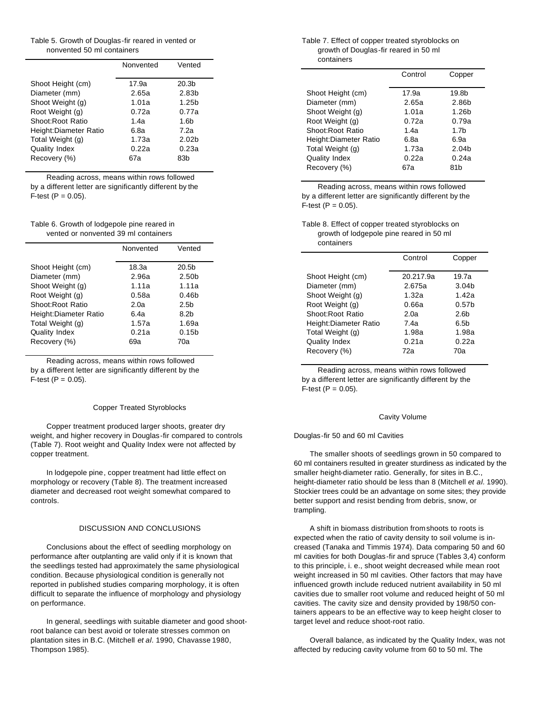Table 5. Growth of Douglas-fir reared in vented or nonvented 50 ml containers

|                       | Nonvented | Vented            |
|-----------------------|-----------|-------------------|
| Shoot Height (cm)     | 17.9a     | 20.3b             |
| Diameter (mm)         | 2.65a     | 2.83 <sub>b</sub> |
| Shoot Weight (g)      | 1.01a     | 1.25 <sub>b</sub> |
| Root Weight (g)       | 0.72a     | 0.77a             |
| Shoot:Root Ratio      | 1.4a      | 1.6b              |
| Height:Diameter Ratio | 6.8a      | 7.2a              |
| Total Weight (g)      | 1.73a     | 2.02 <sub>b</sub> |
| Quality Index         | 0.22a     | 0.23a             |
| Recovery (%)          | 67a       | 83h               |
|                       |           |                   |

Reading across, means within rows followed by a different letter are significantly different by the  $F-test (P = 0.05)$ .

Table 6. Growth of lodgepole pine reared in vented or nonvented 39 ml containers

|                       | Nonvented | Vented            |
|-----------------------|-----------|-------------------|
| Shoot Height (cm)     | 18.3a     | 20.5 <sub>b</sub> |
| Diameter (mm)         | 2.96a     | 2.50 <sub>b</sub> |
| Shoot Weight (g)      | 1.11a     | 1.11a             |
| Root Weight (g)       | 0.58a     | 0.46 <sub>b</sub> |
| Shoot:Root Ratio      | 2.0a      | 2.5 <sub>b</sub>  |
| Height:Diameter Ratio | 6.4a      | 8.2h              |
| Total Weight (g)      | 1.57a     | 1.69a             |
| <b>Quality Index</b>  | 0.21a     | 0.15 <sub>b</sub> |
| Recovery (%)          | 69а       | 70a               |

Reading across, means within rows followed by a different letter are significantly different by the  $F-test (P = 0.05)$ .

#### Copper Treated Styroblocks

Copper treatment produced larger shoots, greater dry weight, and higher recovery in Douglas-fir compared to controls (Table 7). Root weight and Quality Index were not affected by copper treatment.

In lodgepole pine, copper treatment had little effect on morphology or recovery (Table 8). The treatment increased diameter and decreased root weight somewhat compared to controls.

#### DISCUSSION AND CONCLUSIONS

Conclusions about the effect of seedling morphology on performance after outplanting are valid only if it is known that the seedlings tested had approximately the same physiological condition. Because physiological condition is generally not reported in published studies comparing morphology, it is often difficult to separate the influence of morphology and physiology on performance.

In general, seedlings with suitable diameter and good shootroot balance can best avoid or tolerate stresses common on plantation sites in B.C. (Mitchell *et al.* 1990, Chavasse 1980, Thompson 1985).

#### Table 7. Effect of copper treated styroblocks on growth of Douglas-fir reared in 50 ml containers

|                                     | Control        | Copper                     |
|-------------------------------------|----------------|----------------------------|
| Shoot Height (cm)<br>Diameter (mm)  | 17.9a<br>2.65a | 19.8b<br>2.86b             |
| Shoot Weight (g)                    | 1.01a          | 1.26 <sub>b</sub>          |
| Root Weight (g)<br>Shoot:Root Ratio | 0.72a<br>1.4a  | 0.79a<br>1.7 <sub>b</sub>  |
| Height:Diameter Ratio               | 6.8a           | 6.9a                       |
| Total Weight (g)<br>Quality Index   | 1.73a<br>0.22a | 2.04 <sub>b</sub><br>0.24a |
| Recovery (%)                        | 67а            | 81b                        |

Reading across, means within rows followed by a different letter are significantly different by the  $F-test (P = 0.05).$ 

## Table 8. Effect of copper treated styroblocks on growth of lodgepole pine reared in 50 ml containers

|                       | Control   | Copper            |
|-----------------------|-----------|-------------------|
| Shoot Height (cm)     | 20.217.9a | 19.7a             |
| Diameter (mm)         | 2.675a    | 3.04 <sub>b</sub> |
| Shoot Weight (g)      | 1.32a     | 1.42a             |
| Root Weight (g)       | 0.66a     | 0.57 <sub>b</sub> |
| Shoot:Root Ratio      | 2.0a      | 2.6 <sub>b</sub>  |
| Height:Diameter Ratio | 7.4a      | 6.5 <sub>b</sub>  |
| Total Weight (g)      | 1.98a     | 1.98a             |
| Quality Index         | 0.21a     | 0.22a             |
| Recovery (%)          | 72а       | 70a               |

Reading across, means within rows followed by a different letter are significantly different by the  $F-test (P = 0.05).$ 

#### Cavity Volume

#### Douglas-fir 50 and 60 ml Cavities

The smaller shoots of seedlings grown in 50 compared to 60 ml containers resulted in greater sturdiness as indicated by the smaller height-diameter ratio. Generally, for sites in B.C., height-diameter ratio should be less than 8 (Mitchell *et al.* 1990). Stockier trees could be an advantage on some sites; they provide better support and resist bending from debris, snow, or trampling.

A shift in biomass distribution from shoots to roots is expected when the ratio of cavity density to soil volume is increased (Tanaka and Timmis 1974). Data comparing 50 and 60 ml cavities for both Douglas-fir and spruce (Tables 3,4) conform to this principle, i. e., shoot weight decreased while mean root weight increased in 50 ml cavities. Other factors that may have influenced growth include reduced nutrient availability in 50 ml cavities due to smaller root volume and reduced height of 50 ml cavities. The cavity size and density provided by 198/50 containers appears to be an effective way to keep height closer to target level and reduce shoot-root ratio.

Overall balance, as indicated by the Quality Index, was not affected by reducing cavity volume from 60 to 50 ml. The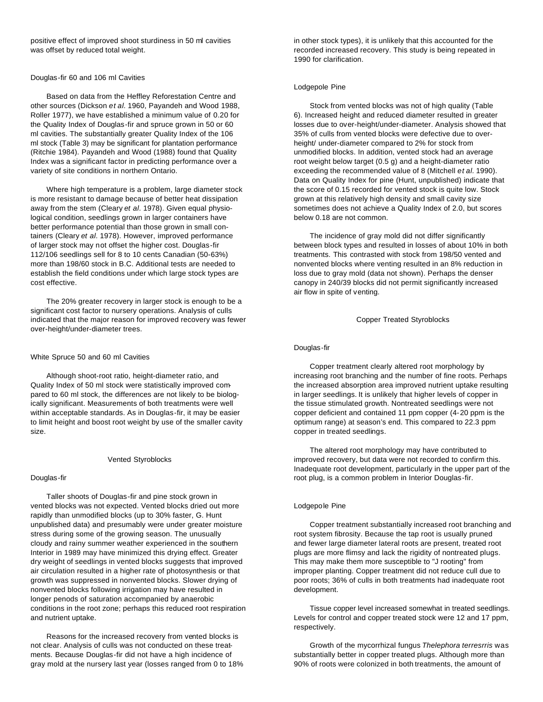positive effect of improved shoot sturdiness in 50 ml cavities was offset by reduced total weight.

## Douglas-fir 60 and 106 ml Cavities

Based on data from the Heffley Reforestation Centre and other sources (Dickson *et al.* 1960, Payandeh and Wood 1988, Roller 1977), we have established a minimum value of 0.20 for the Quality Index of Douglas-fir and spruce grown in 50 or 60 ml cavities. The substantially greater Quality Index of the 106 ml stock (Table 3) may be significant for plantation performance (Ritchie 1984). Payandeh and Wood (1988) found that Quality Index was a significant factor in predicting performance over a variety of site conditions in northern Ontario.

Where high temperature is a problem, large diameter stock is more resistant to damage because of better heat dissipation away from the stem (Cleary *et al.* 1978). Given equal physiological condition, seedlings grown in larger containers have better performance potential than those grown in small containers (Cleary *et al.* 1978). However, improved performance of larger stock may not offset the higher cost. Douglas-fir 112/106 seedlings sell for 8 to 10 cents Canadian (50-63%) more than 198/60 stock in B.C. Additional tests are needed to establish the field conditions under which large stock types are cost effective.

The 20% greater recovery in larger stock is enough to be a significant cost factor to nursery operations. Analysis of culls indicated that the major reason for improved recovery was fewer over-height/under-diameter trees.

#### White Spruce 50 and 60 ml Cavities

Although shoot-root ratio, height-diameter ratio, and Quality Index of 50 ml stock were statistically improved compared to 60 ml stock, the differences are not likely to be biologically significant. Measurements of both treatments were well within acceptable standards. As in Douglas-fir, it may be easier to limit height and boost root weight by use of the smaller cavity size.

#### Vented Styroblocks

## Douglas-fir

Taller shoots of Douglas-fir and pine stock grown in vented blocks was not expected. Vented blocks dried out more rapidly than unmodified blocks (up to 30% faster, G. Hunt unpublished data) and presumably were under greater moisture stress during some of the growing season. The unusually cloudy and rainy summer weather experienced in the southern Interior in 1989 may have minimized this drying effect. Greater dry weight of seedlings in vented blocks suggests that improved air circulation resulted in a higher rate of photosynthesis or that growth was suppressed in nonvented blocks. Slower drying of nonvented blocks following irrigation may have resulted in longer penods of saturation accompanied by anaerobic conditions in the root zone; perhaps this reduced root respiration and nutrient uptake.

Reasons for the increased recovery from vented blocks is not clear. Analysis of culls was not conducted on these treatments. Because Douglas-fir did not have a high incidence of gray mold at the nursery last year (losses ranged from 0 to 18% in other stock types), it is unlikely that this accounted for the recorded increased recovery. This study is being repeated in 1990 for clarification.

#### Lodgepole Pine

Stock from vented blocks was not of high quality (Table 6). Increased height and reduced diameter resulted in greater losses due to over-height/under-diameter. Analysis showed that 35% of culls from vented blocks were defective due to overheight/ under-diameter compared to 2% for stock from unmodified blocks. In addition, vented stock had an average root weight below target (0.5 g) and a height-diameter ratio exceeding the recommended value of 8 (Mitchell *et al.* 1990). Data on Quality Index for pine (Hunt, unpublished) indicate that the score of 0.15 recorded for vented stock is quite low. Stock grown at this relatively high density and small cavity size sometimes does not achieve a Quality Index of 2.0, but scores below 0.18 are not common.

The incidence of gray mold did not differ significantly between block types and resulted in losses of about 10% in both treatments. This contrasted with stock from 198/50 vented and nonvented blocks where venting resulted in an 8% reduction in loss due to gray mold (data not shown). Perhaps the denser canopy in 240/39 blocks did not permit significantly increased air flow in spite of venting.

Copper Treated Styroblocks

#### Douglas-fir

Copper treatment clearly altered root morphology by increasing root branching and the number of fine roots. Perhaps the increased absorption area improved nutrient uptake resulting in larger seedlings. It is unlikely that higher levels of copper in the tissue stimulated growth. Nontreated seedlings were not copper deficient and contained 11 ppm copper (4-20 ppm is the optimum range) at season's end. This compared to 22.3 ppm copper in treated seedlings.

The altered root morphology may have contributed to improved recovery, but data were not recorded to confirm this. Inadequate root development, particularly in the upper part of the root plug, is a common problem in Interior Douglas-fir.

## Lodgepole Pine

Copper treatment substantially increased root branching and root system fibrosity. Because the tap root is usually pruned and fewer large diameter lateral roots are present, treated root plugs are more flimsy and lack the rigidity of nontreated plugs. This may make them more susceptible to "J rooting" from improper planting. Copper treatment did not reduce cull due to poor roots; 36% of culls in both treatments had inadequate root development.

Tissue copper level increased somewhat in treated seedlings. Levels for control and copper treated stock were 12 and 17 ppm, respectively.

Growth of the mycorrhizal fungus *Thelephora terresrris* was substantially better in copper treated plugs. Although more than 90% of roots were colonized in both treatments, the amount of